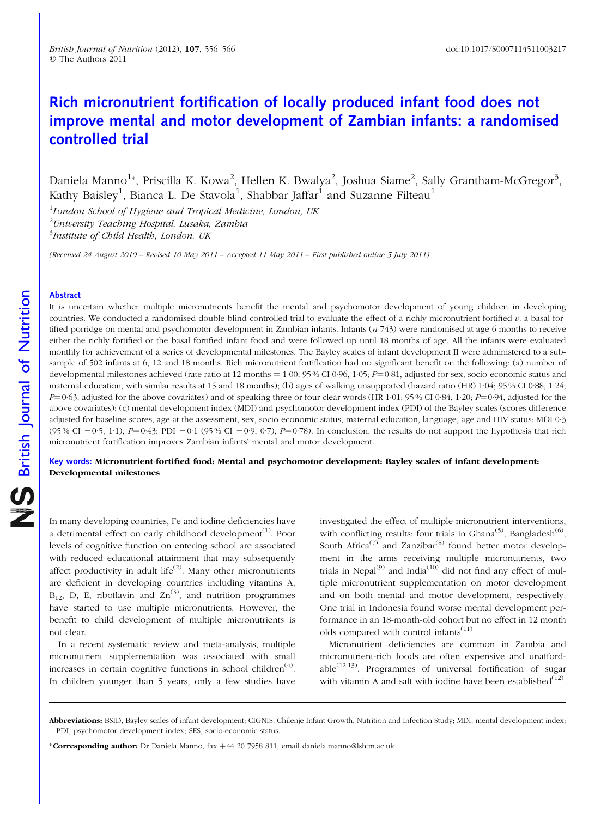# Rich micronutrient fortification of locally produced infant food does not improve mental and motor development of Zambian infants: a randomised controlled trial

Daniela Manno $^{1*}$ , Priscilla K. Kowa $^{2}$ , Hellen K. Bwalya $^{2}$ , Joshua Siame $^{2}$ , Sally Grantham-McGregor $^{3},$ Kathy Baisley $^1$ , Bianca L. De Stavola $^1$ , Shabbar Jaffar $^{\dot{1}}$  and Suzanne Filteau $^1$ 

 $1$ London School of Hygiene and Tropical Medicine, London, UK <sup>2</sup>University Teaching Hospital, Lusaka, Zambia <sup>3</sup>Institute of Child Health, London, UK

(Received 24 August 2010 – Revised 10 May 2011 – Accepted 11 May 2011 – First published online 5 July 2011)

# Abstract

It is uncertain whether multiple micronutrients benefit the mental and psychomotor development of young children in developing countries. We conducted a randomised double-blind controlled trial to evaluate the effect of a richly micronutrient-fortified  $v$ . a basal fortified porridge on mental and psychomotor development in Zambian infants. Infants (n 743) were randomised at age 6 months to receive either the richly fortified or the basal fortified infant food and were followed up until 18 months of age. All the infants were evaluated monthly for achievement of a series of developmental milestones. The Bayley scales of infant development II were administered to a subsample of 502 infants at 6, 12 and 18 months. Rich micronutrient fortification had no significant benefit on the following: (a) number of developmental milestones achieved (rate ratio at 12 months =  $1.00; 95\%$  CI 0.96,  $1.05; P=0.81$ , adjusted for sex, socio-economic status and maternal education, with similar results at 15 and 18 months); (b) ages of walking unsupported (hazard ratio (HR) 1·04; 95 % CI 0·88, 1·24;  $P=0.63$ , adjusted for the above covariates) and of speaking three or four clear words (HR 1·01; 95 % CI 0·84, 1·20;  $P=0.94$ , adjusted for the above covariates); (c) mental development index (MDI) and psychomotor development index (PDI) of the Bayley scales (scores difference adjusted for baseline scores, age at the assessment, sex, socio-economic status, maternal education, language, age and HIV status: MDI 0·3 (95 % CI - 0.5, 1.1), P=0.43; PDI - 0.1 (95 % CI - 0.9, 0.7), P=0.78). In conclusion, the results do not support the hypothesis that rich micronutrient fortification improves Zambian infants' mental and motor development.

# Key words: Micronutrient-fortified food: Mental and psychomotor development: Bayley scales of infant development: Developmental milestones

In many developing countries, Fe and iodine deficiencies have a detrimental effect on early childhood development<sup>(1)</sup>. Poor levels of cognitive function on entering school are associated with reduced educational attainment that may subsequently affect productivity in adult life<sup> $(2)$ </sup>. Many other micronutrients are deficient in developing countries including vitamins A,  $B_{12}$ , D, E, riboflavin and  $Zn^{(3)}$ , and nutrition programmes have started to use multiple micronutrients. However, the benefit to child development of multiple micronutrients is not clear.

In a recent systematic review and meta-analysis, multiple micronutrient supplementation was associated with small increases in certain cognitive functions in school children<sup> $(4)$ </sup>. In children younger than 5 years, only a few studies have

investigated the effect of multiple micronutrient interventions, with conflicting results: four trials in Ghana<sup>(5)</sup>, Bangladesh<sup>(6)</sup>, South Africa<sup>(7)</sup> and Zanzibar<sup>(8)</sup> found better motor development in the arms receiving multiple micronutrients, two trials in Nepal $^{(9)}$  and India<sup> $^{(10)}$ </sup> did not find any effect of multiple micronutrient supplementation on motor development and on both mental and motor development, respectively. One trial in Indonesia found worse mental development performance in an 18-month-old cohort but no effect in 12 month olds compared with control infants $(11)$ .

Micronutrient deficiencies are common in Zambia and micronutrient-rich foods are often expensive and unaffordable<sup> $(12,13)$ </sup>. Programmes of universal fortification of sugar with vitamin A and salt with iodine have been established $^{(12)}$ .

\* Corresponding author: Dr Daniela Manno, fax +44 20 7958 811, email daniela.manno@lshtm.ac.uk

Abbreviations: BSID, Bayley scales of infant development; CIGNIS, Chilenje Infant Growth, Nutrition and Infection Study; MDI, mental development index; PDI, psychomotor development index; SES, socio-economic status.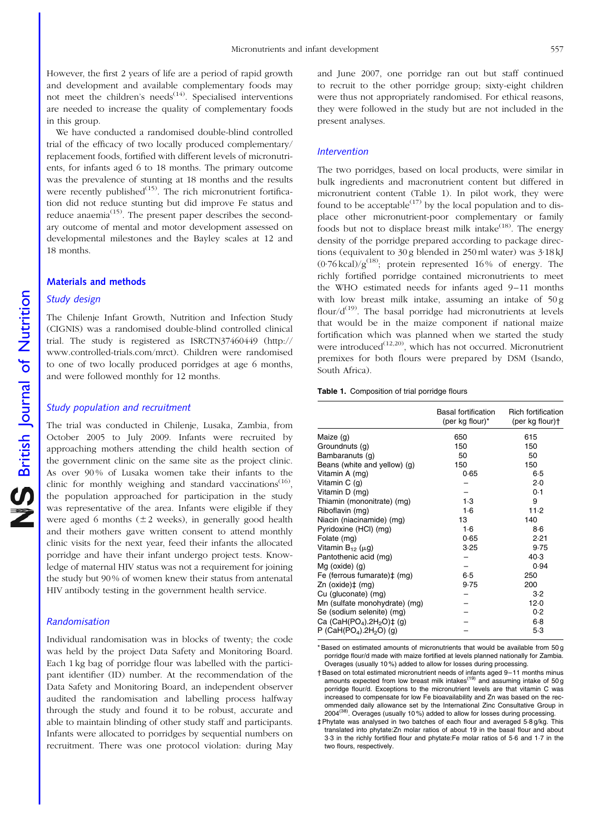However, the first 2 years of life are a period of rapid growth and development and available complementary foods may not meet the children's needs<sup> $(14)$ </sup>. Specialised interventions are needed to increase the quality of complementary foods in this group.

We have conducted a randomised double-blind controlled trial of the efficacy of two locally produced complementary/ replacement foods, fortified with different levels of micronutrients, for infants aged 6 to 18 months. The primary outcome was the prevalence of stunting at 18 months and the results were recently published<sup>(15)</sup>. The rich micronutrient fortification did not reduce stunting but did improve Fe status and reduce anaemia<sup>(15)</sup>. The present paper describes the secondary outcome of mental and motor development assessed on developmental milestones and the Bayley scales at 12 and 18 months.

# Materials and methods

#### Study design

The Chilenje Infant Growth, Nutrition and Infection Study (CIGNIS) was a randomised double-blind controlled clinical trial. The study is registered as ISRCTN37460449 (http:// www.controlled-trials.com/mrct). Children were randomised to one of two locally produced porridges at age 6 months, and were followed monthly for 12 months.

## Study population and recruitment

The trial was conducted in Chilenje, Lusaka, Zambia, from October 2005 to July 2009. Infants were recruited by approaching mothers attending the child health section of the government clinic on the same site as the project clinic. As over 90 % of Lusaka women take their infants to the clinic for monthly weighing and standard vaccinations<sup>(16)</sup>, the population approached for participation in the study was representative of the area. Infants were eligible if they were aged 6 months  $(\pm 2$  weeks), in generally good health and their mothers gave written consent to attend monthly clinic visits for the next year, feed their infants the allocated porridge and have their infant undergo project tests. Knowledge of maternal HIV status was not a requirement for joining the study but 90 % of women knew their status from antenatal HIV antibody testing in the government health service.

#### Randomisation

Individual randomisation was in blocks of twenty; the code was held by the project Data Safety and Monitoring Board. Each 1 kg bag of porridge flour was labelled with the participant identifier (ID) number. At the recommendation of the Data Safety and Monitoring Board, an independent observer audited the randomisation and labelling process halfway through the study and found it to be robust, accurate and able to maintain blinding of other study staff and participants. Infants were allocated to porridges by sequential numbers on recruitment. There was one protocol violation: during May and June 2007, one porridge ran out but staff continued to recruit to the other porridge group; sixty-eight children were thus not appropriately randomised. For ethical reasons, they were followed in the study but are not included in the present analyses.

#### **Intervention**

The two porridges, based on local products, were similar in bulk ingredients and macronutrient content but differed in micronutrient content (Table 1). In pilot work, they were found to be acceptable<sup> $(17)$ </sup> by the local population and to displace other micronutrient-poor complementary or family foods but not to displace breast milk intake $^{(18)}$ . The energy density of the porridge prepared according to package directions (equivalent to 30 g blended in 250 ml water) was 3·18 kJ  $(0.76 \text{ kcal})/\text{g}^{(18)}$ ; protein represented 16% of energy. The richly fortified porridge contained micronutrients to meet the WHO estimated needs for infants aged 9–11 months with low breast milk intake, assuming an intake of 50 g flour/ $d^{(19)}$ . The basal porridge had micronutrients at levels that would be in the maize component if national maize fortification which was planned when we started the study were introduced $^{(12,20)}$ , which has not occurred. Micronutrient premixes for both flours were prepared by DSM (Isando, South Africa).

#### Table 1. Composition of trial porridge flours

|                                                             | <b>Basal fortification</b><br>(per kg flour)* | <b>Rich fortification</b><br>(per kg flour)+ |
|-------------------------------------------------------------|-----------------------------------------------|----------------------------------------------|
| Maize (g)                                                   | 650                                           | 615                                          |
| Groundnuts (g)                                              | 150                                           | 150                                          |
| Bambaranuts (g)                                             | 50                                            | 50                                           |
| Beans (white and yellow) (g)                                | 150                                           | 150                                          |
| Vitamin A (mg)                                              | 0.65                                          | $6 - 5$                                      |
| Vitamin $C(g)$                                              |                                               | 2.0                                          |
| Vitamin D (mg)                                              |                                               | 0.1                                          |
| Thiamin (mononitrate) (mg)                                  | $1-3$                                         | 9                                            |
| Riboflavin (mg)                                             | 1·6                                           | 11.2                                         |
| Niacin (niacinamide) (mg)                                   | 13                                            | 140                                          |
| Pyridoxine (HCl) (mg)                                       | 1·6                                           | $8-6$                                        |
| Folate (mg)                                                 | 0.65                                          | 2.21                                         |
| Vitamin $B_{12}$ ( $\mu$ g)                                 | 3.25                                          | 9.75                                         |
| Pantothenic acid (mg)                                       |                                               | 40.3                                         |
| Mg (oxide) (g)                                              |                                               | 0.94                                         |
| Fe (ferrous fumarate)‡ (mg)                                 | 6.5                                           | 250                                          |
| Zn (oxide)‡ (mg)                                            | 9.75                                          | 200                                          |
| Cu (gluconate) (mg)                                         |                                               | $3-2$                                        |
| Mn (sulfate monohydrate) (mg)                               |                                               | 12.0                                         |
| Se (sodium selenite) (mg)                                   |                                               | 0.2                                          |
| Ca (CaH(PO <sub>4</sub> ).2H <sub>2</sub> O) $\ddagger$ (g) |                                               | $6 - 8$                                      |
| P (CaH(PO <sub>4</sub> ).2H <sub>2</sub> O) (g)             |                                               | 5.3                                          |

\* Based on estimated amounts of micronutrients that would be available from 50 g porridge flour/d made with maize fortified at levels planned nationally for Zambia. Overages (usually 10 %) added to allow for losses during processing.

<sup>†</sup> Based on total estimated micronutrient needs of infants aged 9–11 months minus amounts expected from low breast milk intakes<sup>(19)</sup> and assuming intake of 50 g porridge flour/d. Exceptions to the micronutrient levels are that vitamin C was increased to compensate for low Fe bioavailability and Zn was based on the recommended daily allowance set by the International Zinc Consultative Group in 2004(38). Overages (usually 10 %) added to allow for losses during processing.

<sup>‡</sup> Phytate was analysed in two batches of each flour and averaged 5·8 g/kg. This translated into phytate:Zn molar ratios of about 19 in the basal flour and about 3·3 in the richly fortified flour and phytate:Fe molar ratios of 5·6 and 1·7 in the two flours, respectively.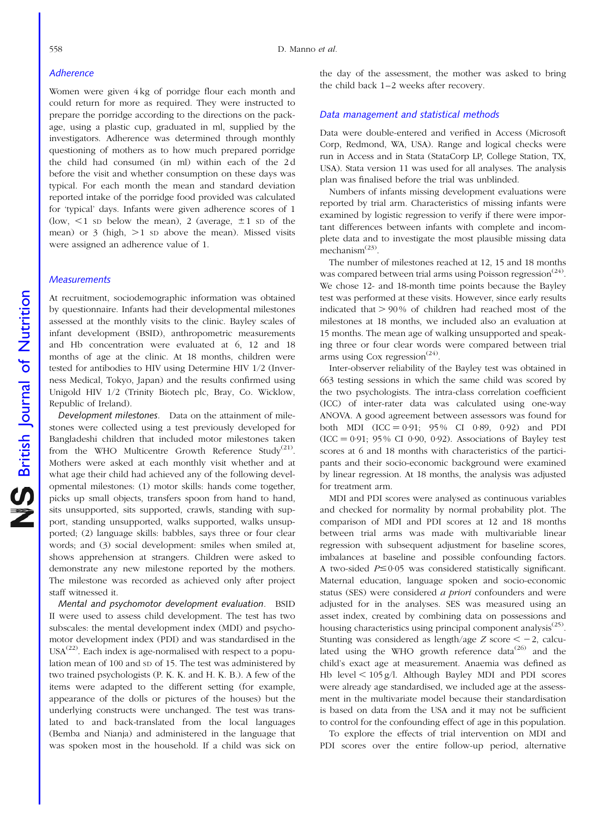# Adherence

Women were given 4 kg of porridge flour each month and could return for more as required. They were instructed to prepare the porridge according to the directions on the package, using a plastic cup, graduated in ml, supplied by the investigators. Adherence was determined through monthly questioning of mothers as to how much prepared porridge the child had consumed (in ml) within each of the 2 d before the visit and whether consumption on these days was typical. For each month the mean and standard deviation reported intake of the porridge food provided was calculated for 'typical' days. Infants were given adherence scores of 1 (low,  $\leq 1$  sp below the mean), 2 (average,  $\pm 1$  sp of the mean) or  $3$  (high,  $>1$  sp above the mean). Missed visits were assigned an adherence value of 1.

#### **Measurements**

At recruitment, sociodemographic information was obtained by questionnaire. Infants had their developmental milestones assessed at the monthly visits to the clinic. Bayley scales of infant development (BSID), anthropometric measurements and Hb concentration were evaluated at 6, 12 and 18 months of age at the clinic. At 18 months, children were tested for antibodies to HIV using Determine HIV 1/2 (Inverness Medical, Tokyo, Japan) and the results confirmed using Unigold HIV 1/2 (Trinity Biotech plc, Bray, Co. Wicklow, Republic of Ireland).

Development milestones. Data on the attainment of milestones were collected using a test previously developed for Bangladeshi children that included motor milestones taken from the WHO Multicentre Growth Reference Study<sup>(21)</sup>. Mothers were asked at each monthly visit whether and at what age their child had achieved any of the following developmental milestones: (1) motor skills: hands come together, picks up small objects, transfers spoon from hand to hand, sits unsupported, sits supported, crawls, standing with support, standing unsupported, walks supported, walks unsupported; (2) language skills: babbles, says three or four clear words; and (3) social development: smiles when smiled at, shows apprehension at strangers. Children were asked to demonstrate any new milestone reported by the mothers. The milestone was recorded as achieved only after project staff witnessed it.

Mental and psychomotor development evaluation. BSID II were used to assess child development. The test has two subscales: the mental development index (MDI) and psychomotor development index (PDI) and was standardised in the  $USA^{(22)}$ . Each index is age-normalised with respect to a population mean of 100 and SD of 15. The test was administered by two trained psychologists (P. K. K. and H. K. B.). A few of the items were adapted to the different setting (for example, appearance of the dolls or pictures of the houses) but the underlying constructs were unchanged. The test was translated to and back-translated from the local languages (Bemba and Nianja) and administered in the language that was spoken most in the household. If a child was sick on the day of the assessment, the mother was asked to bring the child back 1–2 weeks after recovery.

# Data management and statistical methods

Data were double-entered and verified in Access (Microsoft Corp, Redmond, WA, USA). Range and logical checks were run in Access and in Stata (StataCorp LP, College Station, TX, USA). Stata version 11 was used for all analyses. The analysis plan was finalised before the trial was unblinded.

Numbers of infants missing development evaluations were reported by trial arm. Characteristics of missing infants were examined by logistic regression to verify if there were important differences between infants with complete and incomplete data and to investigate the most plausible missing data  $mechanism<sup>(23)</sup>$ .

The number of milestones reached at 12, 15 and 18 months was compared between trial arms using Poisson regression<sup>(24)</sup>. We chose 12- and 18-month time points because the Bayley test was performed at these visits. However, since early results indicated that  $> 90\%$  of children had reached most of the milestones at 18 months, we included also an evaluation at 15 months. The mean age of walking unsupported and speaking three or four clear words were compared between trial arms using Cox regression<sup>(24)</sup>.

Inter-observer reliability of the Bayley test was obtained in 663 testing sessions in which the same child was scored by the two psychologists. The intra-class correlation coefficient (ICC) of inter-rater data was calculated using one-way ANOVA. A good agreement between assessors was found for both MDI  $(ICC = 0.91; 95\% CI 0.89, 0.92)$  and PDI  $(ICC = 0.91; 95\% CI 0.90, 0.92)$ . Associations of Bayley test scores at 6 and 18 months with characteristics of the participants and their socio-economic background were examined by linear regression. At 18 months, the analysis was adjusted for treatment arm.

MDI and PDI scores were analysed as continuous variables and checked for normality by normal probability plot. The comparison of MDI and PDI scores at 12 and 18 months between trial arms was made with multivariable linear regression with subsequent adjustment for baseline scores, imbalances at baseline and possible confounding factors. A two-sided  $P \le 0.05$  was considered statistically significant. Maternal education, language spoken and socio-economic status (SES) were considered a priori confounders and were adjusted for in the analyses. SES was measured using an asset index, created by combining data on possessions and housing characteristics using principal component analysis<sup>(25)</sup>. Stunting was considered as length/age Z score  $\leq -2$ , calculated using the WHO growth reference data $(26)$  and the child's exact age at measurement. Anaemia was defined as Hb level  $\lt 105 g/l$ . Although Bayley MDI and PDI scores were already age standardised, we included age at the assessment in the multivariate model because their standardisation is based on data from the USA and it may not be sufficient to control for the confounding effect of age in this population.

To explore the effects of trial intervention on MDI and PDI scores over the entire follow-up period, alternative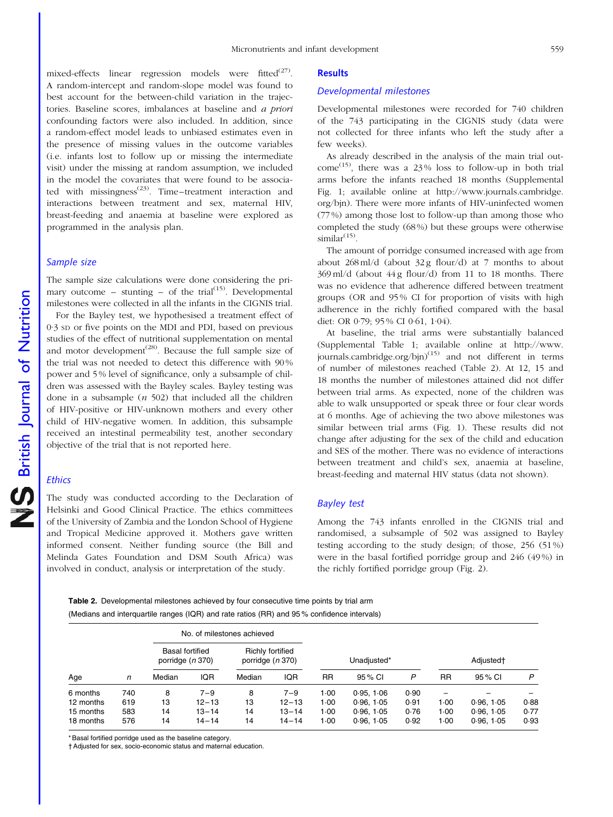mixed-effects linear regression models were fitted<sup>(27)</sup>. A random-intercept and random-slope model was found to best account for the between-child variation in the trajectories. Baseline scores, imbalances at baseline and a priori confounding factors were also included. In addition, since a random-effect model leads to unbiased estimates even in the presence of missing values in the outcome variables (i.e. infants lost to follow up or missing the intermediate visit) under the missing at random assumption, we included in the model the covariates that were found to be associated with missingness<sup>(23)</sup>. Time–treatment interaction and interactions between treatment and sex, maternal HIV, breast-feeding and anaemia at baseline were explored as programmed in the analysis plan.

# Sample size

The sample size calculations were done considering the primary outcome – stunting – of the trial<sup>(15)</sup>. Developmental milestones were collected in all the infants in the CIGNIS trial.

For the Bayley test, we hypothesised a treatment effect of 0·3 SD or five points on the MDI and PDI, based on previous studies of the effect of nutritional supplementation on mental and motor development<sup> $(28)$ </sup>. Because the full sample size of the trial was not needed to detect this difference with 90 % power and 5 % level of significance, only a subsample of children was assessed with the Bayley scales. Bayley testing was done in a subsample  $(n 502)$  that included all the children of HIV-positive or HIV-unknown mothers and every other child of HIV-negative women. In addition, this subsample received an intestinal permeability test, another secondary objective of the trial that is not reported here.

# **Ethics**

The study was conducted according to the Declaration of Helsinki and Good Clinical Practice. The ethics committees of the University of Zambia and the London School of Hygiene and Tropical Medicine approved it. Mothers gave written informed consent. Neither funding source (the Bill and Melinda Gates Foundation and DSM South Africa) was involved in conduct, analysis or interpretation of the study.

#### **Results**

#### Developmental milestones

Developmental milestones were recorded for 740 children of the 743 participating in the CIGNIS study (data were not collected for three infants who left the study after a few weeks).

As already described in the analysis of the main trial out $come<sup>(15)</sup>$ , there was a 23% loss to follow-up in both trial arms before the infants reached 18 months (Supplemental Fig. 1; available online at http://www.journals.cambridge. org/bjn). There were more infants of HIV-uninfected women (77 %) among those lost to follow-up than among those who completed the study (68 %) but these groups were otherwise  $similar<sup>(15)</sup>$ .

The amount of porridge consumed increased with age from about 268 ml/d (about 32 g flour/d) at 7 months to about 369 ml/d (about 44 g flour/d) from 11 to 18 months. There was no evidence that adherence differed between treatment groups (OR and 95 % CI for proportion of visits with high adherence in the richly fortified compared with the basal diet: OR 0·79; 95 % CI 0·61, 1·04).

At baseline, the trial arms were substantially balanced (Supplemental Table 1; available online at http://www. journals.cambridge.org/bjn)<sup>(15)</sup> and not different in terms of number of milestones reached (Table 2). At 12, 15 and 18 months the number of milestones attained did not differ between trial arms. As expected, none of the children was able to walk unsupported or speak three or four clear words at 6 months. Age of achieving the two above milestones was similar between trial arms [\(Fig. 1](#page-4-0)). These results did not change after adjusting for the sex of the child and education and SES of the mother. There was no evidence of interactions between treatment and child's sex, anaemia at baseline, breast-feeding and maternal HIV status (data not shown).

#### Bayley test

Among the 743 infants enrolled in the CIGNIS trial and randomised, a subsample of 502 was assigned to Bayley testing according to the study design; of those, 256 (51 %) were in the basal fortified porridge group and 246 (49 %) in the richly fortified porridge group [\(Fig. 2\)](#page-5-0).

Table 2. Developmental milestones achieved by four consecutive time points by trial arm (Medians and interquartile ranges (IQR) and rate ratios (RR) and 95 % confidence intervals)

| Age       |     |                                              |           | No. of milestones achieved             |           |           |             |      |                       |            |      |  |
|-----------|-----|----------------------------------------------|-----------|----------------------------------------|-----------|-----------|-------------|------|-----------------------|------------|------|--|
|           |     | <b>Basal fortified</b><br>porridge $(n 370)$ |           | Richly fortified<br>porridge $(n 370)$ |           |           | Unadjusted* |      | Adjusted <sup>+</sup> |            |      |  |
|           | n   | Median                                       | IQR       | Median                                 | IQR       | <b>RR</b> | 95 % CI     | P    | <b>RR</b>             | 95 % CI    | P    |  |
| 6 months  | 740 | 8                                            | $7 - 9$   | 8                                      | $7 - 9$   | $1-00$    | 0.95, 1.06  | 0.90 |                       |            |      |  |
| 12 months | 619 | 13                                           | $12 - 13$ | 13                                     | $12 - 13$ | 1.00      | 0.96, 1.05  | 0.91 | 1.00                  | 0.96, 1.05 | 0.88 |  |
| 15 months | 583 | 14                                           | $13 - 14$ | 14                                     | $13 - 14$ | $1-00$    | 0.96, 1.05  | 0.76 | $1-00$                | 0.96.1.05  | 0.77 |  |
| 18 months | 576 | 14                                           | $14 - 14$ | 14                                     | $14 - 14$ | $1-00$    | 0.96, 1.05  | 0.92 | $1-00$                | 0.96, 1.05 | 0.93 |  |

\* Basal fortified porridge used as the baseline category.

† Adjusted for sex, socio-economic status and maternal education.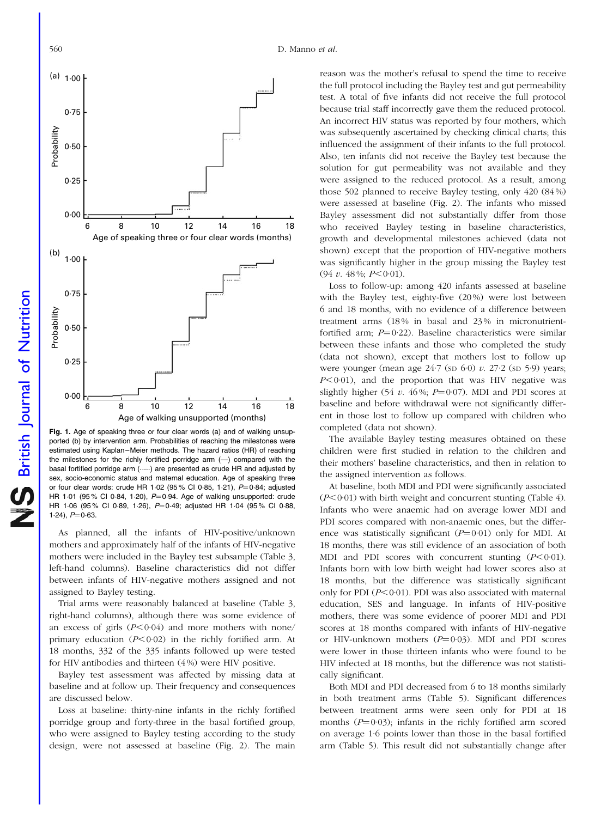<span id="page-4-0"></span>

Fig. 1. Age of speaking three or four clear words (a) and of walking unsupported (b) by intervention arm. Probabilities of reaching the milestones were estimated using Kaplan–Meier methods. The hazard ratios (HR) of reaching the milestones for the richly fortified porridge arm (—) compared with the basal fortified porridge arm (.....) are presented as crude HR and adjusted by sex, socio-economic status and maternal education. Age of speaking three or four clear words: crude HR 1.02 (95% CI 0.85, 1.21),  $P=0.84$ ; adjusted HR 1 $\cdot$ 01 (95% CI 0 $\cdot$ 84, 1 $\cdot$ 20), P=0 $\cdot$ 94. Age of walking unsupported: crude HR 1.06 (95% CI 0.89, 1.26),  $P=0.49$ ; adjusted HR 1.04 (95% CI 0.88, 1 $-24$ ),  $P=0.63$ .

As planned, all the infants of HIV-positive/unknown mothers and approximately half of the infants of HIV-negative mothers were included in the Bayley test subsample [\(Table 3,](#page-6-0) left-hand columns). Baseline characteristics did not differ between infants of HIV-negative mothers assigned and not assigned to Bayley testing.

Trial arms were reasonably balanced at baseline [\(Table 3,](#page-6-0) right-hand columns), although there was some evidence of an excess of girls  $(P<0.04)$  and more mothers with none/ primary education  $(P<0.02)$  in the richly fortified arm. At 18 months, 332 of the 335 infants followed up were tested for HIV antibodies and thirteen (4 %) were HIV positive.

Bayley test assessment was affected by missing data at baseline and at follow up. Their frequency and consequences are discussed below.

Loss at baseline: thirty-nine infants in the richly fortified porridge group and forty-three in the basal fortified group, who were assigned to Bayley testing according to the study design, were not assessed at baseline [\(Fig. 2\)](#page-5-0). The main

reason was the mother's refusal to spend the time to receive the full protocol including the Bayley test and gut permeability test. A total of five infants did not receive the full protocol because trial staff incorrectly gave them the reduced protocol. An incorrect HIV status was reported by four mothers, which was subsequently ascertained by checking clinical charts; this influenced the assignment of their infants to the full protocol. Also, ten infants did not receive the Bayley test because the solution for gut permeability was not available and they were assigned to the reduced protocol. As a result, among those 502 planned to receive Bayley testing, only 420 (84 %) were assessed at baseline ([Fig. 2\)](#page-5-0). The infants who missed Bayley assessment did not substantially differ from those who received Bayley testing in baseline characteristics, growth and developmental milestones achieved (data not shown) except that the proportion of HIV-negative mothers was significantly higher in the group missing the Bayley test  $(94 \, \nu. \, 48\%; P \leq 0.01)$ .

Loss to follow-up: among 420 infants assessed at baseline with the Bayley test, eighty-five (20 %) were lost between 6 and 18 months, with no evidence of a difference between treatment arms (18 % in basal and 23 % in micronutrientfortified arm;  $P=0.22$ ). Baseline characteristics were similar between these infants and those who completed the study (data not shown), except that mothers lost to follow up were younger (mean age  $24.7$  (sp  $6.0$ ) v.  $27.2$  (sp  $5.9$ ) years;  $P<0.01$ ), and the proportion that was HIV negative was slightly higher (54 v. 46%;  $P=0.07$ ). MDI and PDI scores at baseline and before withdrawal were not significantly different in those lost to follow up compared with children who completed (data not shown).

The available Bayley testing measures obtained on these children were first studied in relation to the children and their mothers' baseline characteristics, and then in relation to the assigned intervention as follows.

At baseline, both MDI and PDI were significantly associated  $(P<0.01)$  with birth weight and concurrent stunting ([Table 4](#page-7-0)). Infants who were anaemic had on average lower MDI and PDI scores compared with non-anaemic ones, but the difference was statistically significant  $(P=0.01)$  only for MDI. At 18 months, there was still evidence of an association of both MDI and PDI scores with concurrent stunting  $(P<0.01)$ . Infants born with low birth weight had lower scores also at 18 months, but the difference was statistically significant only for PDI  $(P<0.01)$ . PDI was also associated with maternal education, SES and language. In infants of HIV-positive mothers, there was some evidence of poorer MDI and PDI scores at 18 months compared with infants of HIV-negative or HIV-unknown mothers  $(P=0.03)$ . MDI and PDI scores were lower in those thirteen infants who were found to be HIV infected at 18 months, but the difference was not statistically significant.

Both MDI and PDI decreased from 6 to 18 months similarly in both treatment arms [\(Table 5](#page-8-0)). Significant differences between treatment arms were seen only for PDI at 18 months  $(P=0.03)$ ; infants in the richly fortified arm scored on average 1·6 points lower than those in the basal fortified arm ([Table 5](#page-8-0)). This result did not substantially change after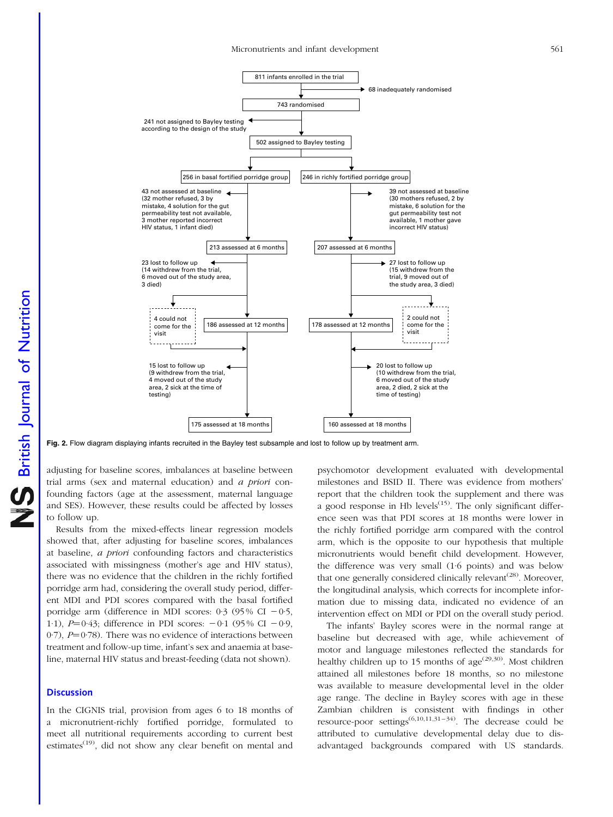<span id="page-5-0"></span>

Fig. 2. Flow diagram displaying infants recruited in the Bayley test subsample and lost to follow up by treatment arm.

adjusting for baseline scores, imbalances at baseline between trial arms (sex and maternal education) and *a priori* confounding factors (age at the assessment, maternal language and SES). However, these results could be affected by losses to follow up.

Results from the mixed-effects linear regression models showed that, after adjusting for baseline scores, imbalances at baseline, *a priori* confounding factors and characteristics associated with missingness (mother's age and HIV status), there was no evidence that the children in the richly fortified porridge arm had, considering the overall study period, different MDI and PDI scores compared with the basal fortified porridge arm (difference in MDI scores:  $0.3$  (95% CI  $-0.5$ , 1.1),  $P=0.43$ ; difference in PDI scores:  $-0.1$  (95% CI  $-0.9$ , 0.7),  $P=0.78$ . There was no evidence of interactions between treatment and follow-up time, infant's sex and anaemia at baseline, maternal HIV status and breast-feeding (data not shown).

# **Discussion**

In the CIGNIS trial, provision from ages 6 to 18 months of a micronutrient-richly fortified porridge, formulated to meet all nutritional requirements according to current best estimates<sup>(19)</sup>, did not show any clear benefit on mental and

psychomotor development evaluated with developmental milestones and BSID II. There was evidence from mothers' report that the children took the supplement and there was a good response in Hb levels<sup> $(15)$ </sup>. The only significant difference seen was that PDI scores at 18 months were lower in the richly fortified porridge arm compared with the control arm, which is the opposite to our hypothesis that multiple micronutrients would benefit child development. However, the difference was very small (1·6 points) and was below that one generally considered clinically relevant<sup> $(28)$ </sup>. Moreover, the longitudinal analysis, which corrects for incomplete information due to missing data, indicated no evidence of an intervention effect on MDI or PDI on the overall study period.

The infants' Bayley scores were in the normal range at baseline but decreased with age, while achievement of motor and language milestones reflected the standards for healthy children up to 15 months of age<sup> $(29,30)$ </sup>. Most children attained all milestones before 18 months, so no milestone was available to measure developmental level in the older age range. The decline in Bayley scores with age in these Zambian children is consistent with findings in other resource-poor settings<sup> $(6,10,11,31-34)$ </sup>. The decrease could be attributed to cumulative developmental delay due to disadvantaged backgrounds compared with US standards.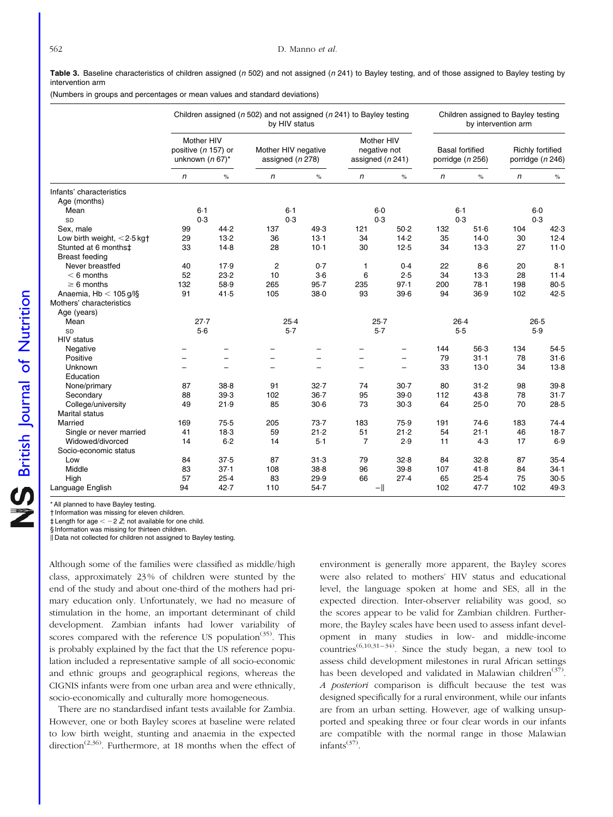<span id="page-6-0"></span>Table 3. Baseline characteristics of children assigned (n 502) and not assigned (n 241) to Bayley testing, and of those assigned to Bayley testing by intervention arm

(Numbers in groups and percentages or mean values and standard deviations)

|                                          |                                                         |                          | Children assigned ( $n$ 502) and not assigned ( $n$ 241) to Bayley testing<br>by HIV status | Children assigned to Bayley testing<br>by intervention arm |                                                |                          |                                            |          |                                      |          |
|------------------------------------------|---------------------------------------------------------|--------------------------|---------------------------------------------------------------------------------------------|------------------------------------------------------------|------------------------------------------------|--------------------------|--------------------------------------------|----------|--------------------------------------|----------|
|                                          | Mother HIV<br>positive (n 157) or<br>unknown $(n 67)^*$ |                          | Mother HIV negative<br>assigned (n 278)                                                     |                                                            | Mother HIV<br>negative not<br>assigned (n 241) |                          | <b>Basal fortified</b><br>porridge (n 256) |          | Richly fortified<br>porridge (n 246) |          |
|                                          | $\mathsf{n}$                                            | $\%$                     | n                                                                                           | $\%$                                                       | $\mathsf{n}$                                   | $\%$                     | $\mathsf{n}$                               | $\%$     | $\mathsf{n}$                         | %        |
| Infants' characteristics<br>Age (months) |                                                         |                          |                                                                                             |                                                            |                                                |                          |                                            |          |                                      |          |
| Mean                                     | $6 - 1$                                                 |                          | $6 - 1$                                                                                     |                                                            | $6-0$                                          |                          | $6 - 1$                                    |          |                                      | $6 - 0$  |
| SD                                       | 0.3                                                     |                          | 0.3                                                                                         |                                                            | 0.3                                            |                          |                                            | 0.3      | 0.3                                  |          |
| Sex. male                                | 99                                                      | 44.2                     | 137                                                                                         | 49.3                                                       | 121                                            | 50.2                     | 132                                        | $51-6$   | 104                                  | 42.3     |
| Low birth weight, $<$ 2.5 kgt            | 29                                                      | $13-2$                   | 36                                                                                          | $13-1$                                                     | 34                                             | 14.2                     | 35                                         | $14-0$   | 30                                   | 12.4     |
| Stunted at 6 months‡                     | 33                                                      | 14.8                     | 28                                                                                          | $10-1$                                                     | 30                                             | 12.5                     | 34                                         | $13-3$   | 27                                   | 11.0     |
| <b>Breast feeding</b>                    |                                                         |                          |                                                                                             |                                                            |                                                |                          |                                            |          |                                      |          |
| Never breastfed                          | 40                                                      | 17.9                     | $\overline{c}$                                                                              | 0.7                                                        | $\mathbf{1}$                                   | 0.4                      | 22                                         | $8-6$    | 20                                   | 8.1      |
| $< 6$ months                             | 52                                                      | 23.2                     | 10                                                                                          | 3.6                                                        | 6                                              | 2.5                      | 34                                         | $13-3$   | 28                                   | 11.4     |
| $\geq 6$ months                          | 132                                                     | 58.9                     | 265                                                                                         | $95 - 7$                                                   | 235                                            | 97.1                     | 200                                        | 78.1     | 198                                  | 80.5     |
| Anaemia, $Hb < 105$ g/l§                 | 91                                                      | 41.5                     | 105                                                                                         | $38 - 0$                                                   | 93                                             | 39.6                     | 94                                         | 36.9     | 102                                  | 42.5     |
| Mothers' characteristics                 |                                                         |                          |                                                                                             |                                                            |                                                |                          |                                            |          |                                      |          |
| Age (years)                              |                                                         |                          |                                                                                             |                                                            |                                                |                          |                                            |          |                                      |          |
| Mean                                     | 27.7                                                    |                          | $25-4$                                                                                      |                                                            |                                                | 25.7                     |                                            | $26-4$   |                                      | 26.5     |
| SD                                       | 5.6                                                     |                          | $5-7$                                                                                       |                                                            | 5.7                                            |                          | 5.5                                        |          |                                      | 5.9      |
| <b>HIV</b> status                        |                                                         |                          |                                                                                             |                                                            |                                                |                          |                                            |          |                                      |          |
| Negative                                 |                                                         |                          |                                                                                             |                                                            |                                                | -                        | 144                                        | $56-3$   | 134                                  | 54.5     |
| Positive                                 |                                                         |                          |                                                                                             |                                                            |                                                |                          | 79                                         | $31 - 1$ | 78                                   | 31.6     |
| Unknown                                  |                                                         | $\overline{\phantom{0}}$ |                                                                                             |                                                            | $\overline{\phantom{0}}$                       | $\overline{\phantom{0}}$ | 33                                         | $13-0$   | 34                                   | $13-8$   |
| Education                                |                                                         |                          |                                                                                             |                                                            |                                                |                          |                                            |          |                                      |          |
| None/primary                             | 87                                                      | 38.8                     | 91                                                                                          | 32.7                                                       | 74                                             | $30-7$                   | 80                                         | 31.2     | 98                                   | 39.8     |
| Secondary                                | 88                                                      | 39.3                     | 102                                                                                         | $36 - 7$                                                   | 95                                             | 39.0                     | 112                                        | 43.8     | 78                                   | $31 - 7$ |
| College/university                       | 49                                                      | 21.9                     | 85                                                                                          | $30-6$                                                     | 73                                             | 30.3                     | 64                                         | 25.0     | 70                                   | 28.5     |
| <b>Marital status</b>                    |                                                         |                          |                                                                                             |                                                            |                                                |                          |                                            |          |                                      |          |
| Married                                  | 169                                                     | 75.5                     | 205                                                                                         | 73.7                                                       | 183                                            | 75.9                     | 191                                        | 74.6     | 183                                  | 74.4     |
| Single or never married                  | 41                                                      | $18-3$                   | 59                                                                                          | 21.2                                                       | 51                                             | 21.2                     | 54                                         | 21.1     | 46                                   | 18.7     |
| Widowed/divorced                         | 14                                                      | $6 - 2$                  | 14                                                                                          | 5.1                                                        | $\overline{7}$                                 | 2.9                      | 11                                         | 4.3      | 17                                   | 6.9      |
| Socio-economic status                    |                                                         |                          |                                                                                             |                                                            |                                                |                          |                                            |          |                                      |          |
| Low                                      | 84                                                      | 37.5                     | 87                                                                                          | 31.3                                                       | 79                                             | 32.8                     | 84                                         | 32.8     | 87                                   | $35-4$   |
| Middle                                   | 83                                                      | 37.1                     | 108                                                                                         | $38 - 8$                                                   | 96                                             | 39.8                     | 107                                        | 41.8     | 84                                   | 34.1     |
| High                                     | 57                                                      | 25.4                     | 83                                                                                          | 29.9                                                       | 66                                             | 27.4                     | 65                                         | $25-4$   | 75                                   | 30.5     |
| Language English                         | 94                                                      | 42.7                     | 110                                                                                         | 54.7                                                       | $-\parallel$                                   |                          | 102                                        | 47.7     | 102                                  | 49.3     |

\* All planned to have Bayley testing.

† Information was missing for eleven children.

 $\pm$  Length for age  $<-2$  Z; not available for one child.

§ Information was missing for thirteen children.

| Data not collected for children not assigned to Bayley testing.

Although some of the families were classified as middle/high class, approximately 23 % of children were stunted by the end of the study and about one-third of the mothers had primary education only. Unfortunately, we had no measure of stimulation in the home, an important determinant of child development. Zambian infants had lower variability of scores compared with the reference US population<sup> $(35)$ </sup>. This is probably explained by the fact that the US reference population included a representative sample of all socio-economic and ethnic groups and geographical regions, whereas the CIGNIS infants were from one urban area and were ethnically, socio-economically and culturally more homogeneous.

There are no standardised infant tests available for Zambia. However, one or both Bayley scores at baseline were related to low birth weight, stunting and anaemia in the expected direction<sup> $(2,36)$ </sup>. Furthermore, at 18 months when the effect of

environment is generally more apparent, the Bayley scores were also related to mothers' HIV status and educational level, the language spoken at home and SES, all in the expected direction. Inter-observer reliability was good, so the scores appear to be valid for Zambian children. Furthermore, the Bayley scales have been used to assess infant development in many studies in low- and middle-income countries<sup> $(6,10,31-34)$ </sup>. Since the study began, a new tool to assess child development milestones in rural African settings has been developed and validated in Malawian children<sup>(37)</sup>. A posteriori comparison is difficult because the test was designed specifically for a rural environment, while our infants are from an urban setting. However, age of walking unsupported and speaking three or four clear words in our infants are compatible with the normal range in those Malawian infants(37).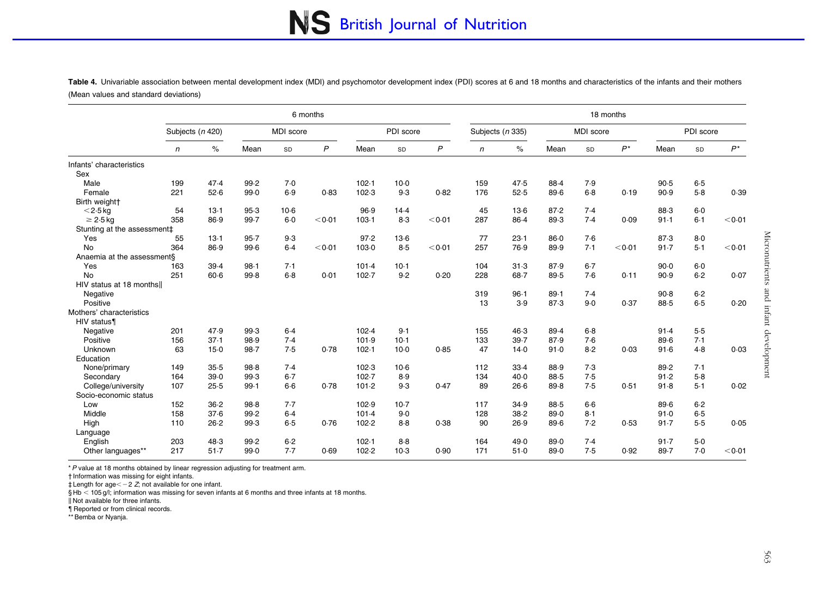# NS British Journal of Nutrition

<span id="page-7-0"></span>Table 4. Univariable association between mental development index (MDI) and psychomotor development index (PDI) scores at 6 and 18 months and characteristics of the infants and their mothers (Mean values and standard deviations)

|                             |                  | 6 months |                  |         |           |           |                  |        |              |          | 18 months |         |        |        |         |        |  |  |
|-----------------------------|------------------|----------|------------------|---------|-----------|-----------|------------------|--------|--------------|----------|-----------|---------|--------|--------|---------|--------|--|--|
|                             | Subjects (n 420) |          | <b>MDI</b> score |         | PDI score |           | Subjects (n 335) |        | MDI score    |          | PDI score |         |        |        |         |        |  |  |
|                             | $\mathsf{n}$     | $\%$     | Mean             | SD      | P         | Mean      | SD               | P      | $\mathsf{n}$ | $\%$     | Mean      | SD      | $P^*$  | Mean   | SD      | $P^*$  |  |  |
| Infants' characteristics    |                  |          |                  |         |           |           |                  |        |              |          |           |         |        |        |         |        |  |  |
| Sex                         |                  |          |                  |         |           |           |                  |        |              |          |           |         |        |        |         |        |  |  |
| Male                        | 199              | 47.4     | 99.2             | 7.0     |           | $102 - 1$ | $10-0$           |        | 159          | 47.5     | 88.4      | 7.9     |        | 90.5   | $6-5$   |        |  |  |
| Female                      | 221              | 52.6     | 99.0             | 6.9     | 0.83      | 102.3     | 9.3              | 0.82   | 176          | 52.5     | 89.6      | $6 - 8$ | 0.19   | 90.9   | $5-8$   | 0.39   |  |  |
| Birth weight†               |                  |          |                  |         |           |           |                  |        |              |          |           |         |        |        |         |        |  |  |
| $<$ 2.5 kg                  | 54               | 13.1     | 95.3             | $10-6$  |           | 96.9      | 14.4             |        | 45           | $13-6$   | 87.2      | 7.4     |        | 88.3   | $6-0$   |        |  |  |
| $\geq 2.5$ ka               | 358              | 86.9     | 99.7             | $6-0$   | < 0.01    | $103 - 1$ | $8-3$            | < 0.01 | 287          | $86-4$   | 89.3      | 7.4     | 0.09   | 91.1   | $6 - 1$ | < 0.01 |  |  |
| Stunting at the assessment‡ |                  |          |                  |         |           |           |                  |        |              |          |           |         |        |        |         |        |  |  |
| Yes                         | 55               | $13-1$   | 95.7             | 9.3     |           | 97.2      | $13-6$           |        | 77           | $23-1$   | $86 - 0$  | $7-6$   |        | 87.3   | $8-0$   |        |  |  |
| No                          | 364              | 86.9     | 99.6             | $6-4$   | < 0.01    | 103.0     | 8.5              | < 0.01 | 257          | 76.9     | 89.9      | 7.1     | < 0.01 | 91.7   | $5 - 1$ | < 0.01 |  |  |
| Anaemia at the assessment§  |                  |          |                  |         |           |           |                  |        |              |          |           |         |        |        |         |        |  |  |
| Yes                         | 163              | 39.4     | $98 - 1$         | 7.1     |           | $101-4$   | $10-1$           |        | 104          | 31.3     | 87.9      | $6 - 7$ |        | $90-0$ | $6-0$   |        |  |  |
| <b>No</b>                   | 251              | $60 - 6$ | 99.8             | $6 - 8$ | 0.01      | $102 - 7$ | 9.2              | 0.20   | 228          | $68 - 7$ | 89.5      | 7.6     | 0.11   | 90.9   | 6.2     | 0.07   |  |  |
| HIV status at 18 monthsll   |                  |          |                  |         |           |           |                  |        |              |          |           |         |        |        |         |        |  |  |
| Negative                    |                  |          |                  |         |           |           |                  |        | 319          | $96-1$   | 89.1      | 7.4     |        | $90-8$ | $6 - 2$ |        |  |  |
| Positive                    |                  |          |                  |         |           |           |                  |        | 13           | 3.9      | 87.3      | 9.0     | 0.37   | 88-5   | $6 - 5$ | 0.20   |  |  |
| Mothers' characteristics    |                  |          |                  |         |           |           |                  |        |              |          |           |         |        |        |         |        |  |  |
| HIV status¶                 |                  |          |                  |         |           |           |                  |        |              |          |           |         |        |        |         |        |  |  |
| Negative                    | 201              | 47.9     | 99.3             | $6-4$   |           | $102 - 4$ | 9.1              |        | 155          | 46.3     | 89.4      | $6 - 8$ |        | 91.4   | 5.5     |        |  |  |
| Positive                    | 156              | 37.1     | 98.9             | 7.4     |           | 101.9     | $10-1$           |        | 133          | 39.7     | 87.9      | 7.6     |        | 89.6   | 7.1     |        |  |  |
| Unknown                     | 63               | $15-0$   | 98.7             | 7.5     | 0.78      | 102.1     | $10-0$           | 0.85   | 47           | $14-0$   | 91.0      | 8.2     | 0.03   | 91.6   | 4.8     | 0.03   |  |  |
| Education                   |                  |          |                  |         |           |           |                  |        |              |          |           |         |        |        |         |        |  |  |
| None/primary                | 149              | 35.5     | 98.8             | 7.4     |           | 102.3     | $10-6$           |        | 112          | 33.4     | 88.9      | 7.3     |        | 89.2   | 7.1     |        |  |  |
| Secondary                   | 164              | 39.0     | 99.3             | $6 - 7$ |           | $102 - 7$ | 8.9              |        | 134          | $40-0$   | 88.5      | 7.5     |        | 91.2   | $5-8$   |        |  |  |
| College/university          | 107              | 25.5     | 99.1             | $6-6$   | 0.78      | $101-2$   | 9.3              | 0.47   | 89           | $26-6$   | 89.8      | 7.5     | 0.51   | 91.8   | $5-1$   | 0.02   |  |  |
| Socio-economic status       |                  |          |                  |         |           |           |                  |        |              |          |           |         |        |        |         |        |  |  |
| Low                         | 152              | $36 - 2$ | 98.8             | 7.7     |           | 102.9     | $10-7$           |        | 117          | 34.9     | 88.5      | $6-6$   |        | 89.6   | $6 - 2$ |        |  |  |
| Middle                      | 158              | 37.6     | 99.2             | $6-4$   |           | $101-4$   | $9-0$            |        | 128          | 38.2     | 89.0      | $8-1$   |        | 91.0   | $6-5$   |        |  |  |
| High                        | 110              | 26.2     | 99.3             | $6 - 5$ | 0.76      | 102.2     | $8 - 8$          | 0.38   | 90           | 26.9     | 89.6      | 7.2     | 0.53   | 91.7   | $5-5$   | 0.05   |  |  |
| Language                    |                  |          |                  |         |           |           |                  |        |              |          |           |         |        |        |         |        |  |  |
| English                     | 203              | 48.3     | 99.2             | $6-2$   |           | $102 - 1$ | $8 - 8$          |        | 164          | 49.0     | 89.0      | 7.4     |        | 91.7   | $5-0$   |        |  |  |
| Other languages**           | 217              | 51.7     | 99.0             | 7.7     | 0.69      | 102.2     | $10-3$           | 0.90   | 171          | 51.0     | 89.0      | 7.5     | 0.92   | 89.7   | 7.0     | < 0.01 |  |  |

\* P value at 18 months obtained by linear regression adjusting for treatment arm.

† Information was missing for eight infants.

 $\ddagger$  Length for age $<-2$  Z; not available for one infant.

 $\S$  Hb < 105 g/l; information was missing for seven infants at 6 months and three infants at 18 months.

 $\parallel$  Not available for three infants.

{ Reported or from clinical records.

\*\* Bemba or Nyanja.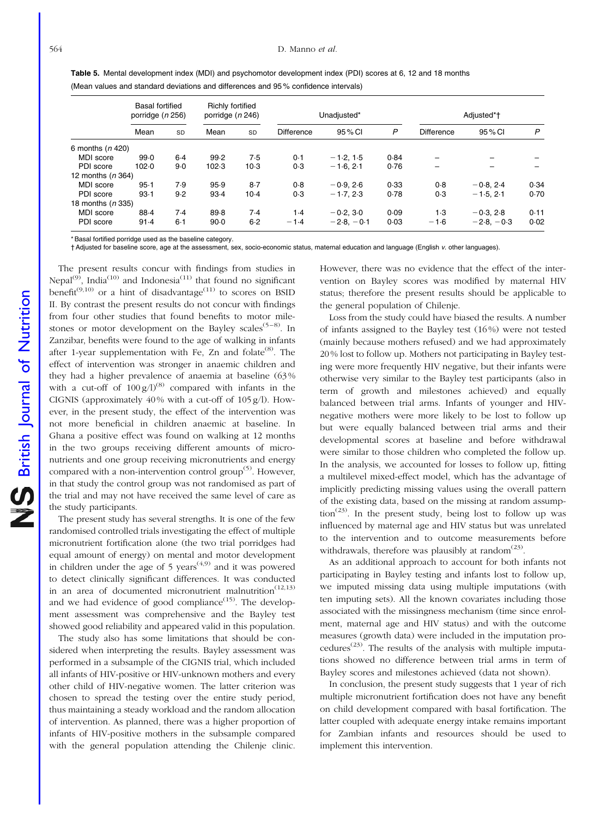Basal fortified porridge (n 256) Richly fortified porridge (n 246) Unadjusted\* Adjusted\*† Mean sp Mean sp Difference 95%Cl P Difference 95%Cl P 6 months (n 420) MDI score 99·0 6·4 99·2 7·5 0·1 21·2, 1·5 0·84 – – – PDI score 102·0 9·0 102·3 10·3 0·3 21·6, 2·1 0·76 – – – 12 months  $(n 364)$ <br>MDI score MDI score 95·1 7·9 95·9 8·7 0·8 —0·9, 2·6 0·33 0·8 —0·8, 2·4 0·34 PDI score 93·1 9·2 93·4 10·4 0·3 21·7, 2·3 0·78 0·3 21·5, 2·1 0·70 18 months  $(n 335)$ <br>MDI score MDI score 88·4 7·4 89·8 7·4 1·4 20·2, 3·0 0·09 1·3 20·3, 2·8 0·11 PDI score 91·4 6·1 90·0 6·2 -1·4 -2·8, -0·1 0·03 -1·6 -2·8, -0·3 0·02

<span id="page-8-0"></span>Table 5. Mental development index (MDI) and psychomotor development index (PDI) scores at 6, 12 and 18 months (Mean values and standard deviations and differences and 95 % confidence intervals)

\* Basal fortified porridge used as the baseline category.

† Adjusted for baseline score, age at the assessment, sex, socio-economic status, maternal education and language (English v. other languages).

The present results concur with findings from studies in Nepal<sup>(9)</sup>, India<sup>(10)</sup> and Indonesia<sup>(11)</sup> that found no significant benefit<sup>(9,10)</sup> or a hint of disadvantage<sup>(11)</sup> to scores on BSID II. By contrast the present results do not concur with findings from four other studies that found benefits to motor milestones or motor development on the Bayley scales<sup> $(5-8)$ </sup>. In Zanzibar, benefits were found to the age of walking in infants after 1-year supplementation with Fe, Zn and folate<sup>(8)</sup>. The effect of intervention was stronger in anaemic children and they had a higher prevalence of anaemia at baseline (63 % with a cut-off of  $100 g/l$ <sup>(8)</sup> compared with infants in the CIGNIS (approximately  $40\%$  with a cut-off of  $105 g/l$ ). However, in the present study, the effect of the intervention was not more beneficial in children anaemic at baseline. In Ghana a positive effect was found on walking at 12 months in the two groups receiving different amounts of micronutrients and one group receiving micronutrients and energy compared with a non-intervention control group<sup> $(5)$ </sup>. However, in that study the control group was not randomised as part of the trial and may not have received the same level of care as the study participants.

The present study has several strengths. It is one of the few randomised controlled trials investigating the effect of multiple micronutrient fortification alone (the two trial porridges had equal amount of energy) on mental and motor development in children under the age of 5 years<sup> $(4,9)$ </sup> and it was powered to detect clinically significant differences. It was conducted in an area of documented micronutrient malnutrition<sup> $(12,13)$ </sup> and we had evidence of good compliance<sup> $(15)$ </sup>. The development assessment was comprehensive and the Bayley test showed good reliability and appeared valid in this population.

The study also has some limitations that should be considered when interpreting the results. Bayley assessment was performed in a subsample of the CIGNIS trial, which included all infants of HIV-positive or HIV-unknown mothers and every other child of HIV-negative women. The latter criterion was chosen to spread the testing over the entire study period, thus maintaining a steady workload and the random allocation of intervention. As planned, there was a higher proportion of infants of HIV-positive mothers in the subsample compared with the general population attending the Chilenje clinic. However, there was no evidence that the effect of the intervention on Bayley scores was modified by maternal HIV status; therefore the present results should be applicable to the general population of Chilenje.

Loss from the study could have biased the results. A number of infants assigned to the Bayley test (16 %) were not tested (mainly because mothers refused) and we had approximately 20 % lost to follow up. Mothers not participating in Bayley testing were more frequently HIV negative, but their infants were otherwise very similar to the Bayley test participants (also in term of growth and milestones achieved) and equally balanced between trial arms. Infants of younger and HIVnegative mothers were more likely to be lost to follow up but were equally balanced between trial arms and their developmental scores at baseline and before withdrawal were similar to those children who completed the follow up. In the analysis, we accounted for losses to follow up, fitting a multilevel mixed-effect model, which has the advantage of implicitly predicting missing values using the overall pattern of the existing data, based on the missing at random assumption<sup>(23)</sup>. In the present study, being lost to follow up was influenced by maternal age and HIV status but was unrelated to the intervention and to outcome measurements before withdrawals, therefore was plausibly at random<sup> $(23)$ </sup>.

As an additional approach to account for both infants not participating in Bayley testing and infants lost to follow up, we imputed missing data using multiple imputations (with ten imputing sets). All the known covariates including those associated with the missingness mechanism (time since enrolment, maternal age and HIV status) and with the outcome measures (growth data) were included in the imputation procedures<sup> $(23)$ </sup>. The results of the analysis with multiple imputations showed no difference between trial arms in term of Bayley scores and milestones achieved (data not shown).

In conclusion, the present study suggests that 1 year of rich multiple micronutrient fortification does not have any benefit on child development compared with basal fortification. The latter coupled with adequate energy intake remains important for Zambian infants and resources should be used to implement this intervention.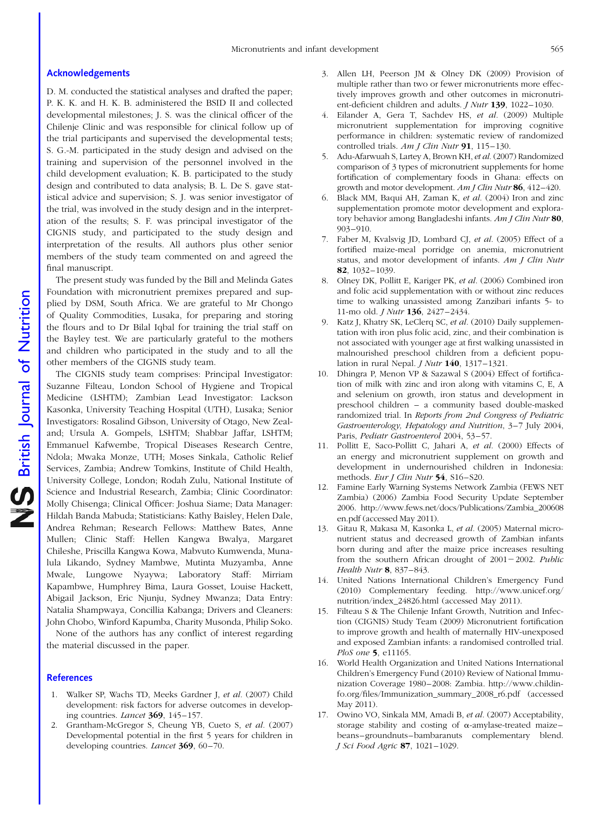# Acknowledgements

D. M. conducted the statistical analyses and drafted the paper; P. K. K. and H. K. B. administered the BSID II and collected developmental milestones; J. S. was the clinical officer of the Chilenje Clinic and was responsible for clinical follow up of the trial participants and supervised the developmental tests; S. G.-M. participated in the study design and advised on the training and supervision of the personnel involved in the child development evaluation; K. B. participated to the study design and contributed to data analysis; B. L. De S. gave statistical advice and supervision; S. J. was senior investigator of the trial, was involved in the study design and in the interpretation of the results; S. F. was principal investigator of the CIGNIS study, and participated to the study design and interpretation of the results. All authors plus other senior members of the study team commented on and agreed the final manuscript.

The present study was funded by the Bill and Melinda Gates Foundation with micronutrient premixes prepared and supplied by DSM, South Africa. We are grateful to Mr Chongo of Quality Commodities, Lusaka, for preparing and storing the flours and to Dr Bilal Iqbal for training the trial staff on the Bayley test. We are particularly grateful to the mothers and children who participated in the study and to all the other members of the CIGNIS study team.

The CIGNIS study team comprises: Principal Investigator: Suzanne Filteau, London School of Hygiene and Tropical Medicine (LSHTM); Zambian Lead Investigator: Lackson Kasonka, University Teaching Hospital (UTH), Lusaka; Senior Investigators: Rosalind Gibson, University of Otago, New Zealand; Ursula A. Gompels, LSHTM; Shabbar Jaffar, LSHTM; Emmanuel Kafwembe, Tropical Diseases Research Centre, Ndola; Mwaka Monze, UTH; Moses Sinkala, Catholic Relief Services, Zambia; Andrew Tomkins, Institute of Child Health, University College, London; Rodah Zulu, National Institute of Science and Industrial Research, Zambia; Clinic Coordinator: Molly Chisenga; Clinical Officer: Joshua Siame; Data Manager: Hildah Banda Mabuda; Statisticians: Kathy Baisley, Helen Dale, Andrea Rehman; Research Fellows: Matthew Bates, Anne Mullen; Clinic Staff: Hellen Kangwa Bwalya, Margaret Chileshe, Priscilla Kangwa Kowa, Mabvuto Kumwenda, Munalula Likando, Sydney Mambwe, Mutinta Muzyamba, Anne Mwale, Lungowe Nyaywa; Laboratory Staff: Mirriam Kapambwe, Humphrey Bima, Laura Gosset, Louise Hackett, Abigail Jackson, Eric Njunju, Sydney Mwanza; Data Entry: Natalia Shampwaya, Concillia Kabanga; Drivers and Cleaners: John Chobo, Winford Kapumba, Charity Musonda, Philip Soko.

None of the authors has any conflict of interest regarding the material discussed in the paper.

#### **References**

- 1. Walker SP, Wachs TD, Meeks Gardner J, et al. (2007) Child development: risk factors for adverse outcomes in developing countries. Lancet 369, 145–157.
- 2. Grantham-McGregor S, Cheung YB, Cueto S, et al. (2007) Developmental potential in the first 5 years for children in developing countries. Lancet 369, 60–70.
- 3. Allen LH, Peerson JM & Olney DK (2009) Provision of multiple rather than two or fewer micronutrients more effectively improves growth and other outcomes in micronutrient-deficient children and adults. *J Nutr* 139, 1022-1030.
- 4. Eilander A, Gera T, Sachdev HS, et al. (2009) Multiple micronutrient supplementation for improving cognitive performance in children: systematic review of randomized controlled trials. Am J Clin Nutr 91, 115-130.
- 5. Adu-Afarwuah S, Lartey A, Brown KH, et al. (2007) Randomized comparison of 3 types of micronutrient supplements for home fortification of complementary foods in Ghana: effects on growth and motor development. Am J Clin Nutr 86, 412–420.
- 6. Black MM, Baqui AH, Zaman K, et al. (2004) Iron and zinc supplementation promote motor development and exploratory behavior among Bangladeshi infants. Am J Clin Nutr 80, 903–910.
- 7. Faber M, Kvalsvig JD, Lombard CJ, et al. (2005) Effect of a fortified maize-meal porridge on anemia, micronutrient status, and motor development of infants. Am J Clin Nutr 82, 1032–1039.
- 8. Olney DK, Pollitt E, Kariger PK, et al. (2006) Combined iron and folic acid supplementation with or without zinc reduces time to walking unassisted among Zanzibari infants 5- to 11-mo old. J Nutr 136, 2427–2434.
- 9. Katz J, Khatry SK, LeClerq SC, et al. (2010) Daily supplementation with iron plus folic acid, zinc, and their combination is not associated with younger age at first walking unassisted in malnourished preschool children from a deficient population in rural Nepal. J Nutr 140, 1317–1321.
- 10. Dhingra P, Menon VP & Sazawal S (2004) Effect of fortification of milk with zinc and iron along with vitamins C, E, A and selenium on growth, iron status and development in preschool children – a community based double-masked randomized trial. In Reports from 2nd Congress of Pediatric Gastroenterology, Hepatology and Nutrition, 3–7 July 2004, Paris, Pediatr Gastroenterol 2004, 53–57.
- 11. Pollitt E, Saco-Pollitt C, Jahari A, et al. (2000) Effects of an energy and micronutrient supplement on growth and development in undernourished children in Indonesia: methods. Eur J Clin Nutr 54, S16-S20.
- 12. Famine Early Warning Systems Network Zambia (FEWS NET Zambia) (2006) Zambia Food Security Update September 2006. http://www.fews.net/docs/Publications/Zambia\_200608 en.pdf (accessed May 2011).
- 13. Gitau R, Makasa M, Kasonka L, et al. (2005) Maternal micronutrient status and decreased growth of Zambian infants born during and after the maize price increases resulting from the southern African drought of  $2001 - 2002$ . Public Health Nutr 8, 837-843.
- 14. United Nations International Children's Emergency Fund (2010) Complementary feeding. http://www.unicef.org/ nutrition/index\_24826.html (accessed May 2011).
- 15. Filteau S & The Chilenje Infant Growth, Nutrition and Infection (CIGNIS) Study Team (2009) Micronutrient fortification to improve growth and health of maternally HIV-unexposed and exposed Zambian infants: a randomised controlled trial. PloS one 5, e11165.
- 16. World Health Organization and United Nations International Children's Emergency Fund (2010) Review of National Immunization Coverage 1980–2008: Zambia. http://www.childinfo.org/files/Immunization\_summary\_2008\_r6.pdf (accessed May 2011).
- 17. Owino VO, Sinkala MM, Amadi B, et al. (2007) Acceptability, storage stability and costing of a-amylase-treated maize– beans–groundnuts–bambaranuts complementary blend. J Sci Food Agric 87, 1021–1029.